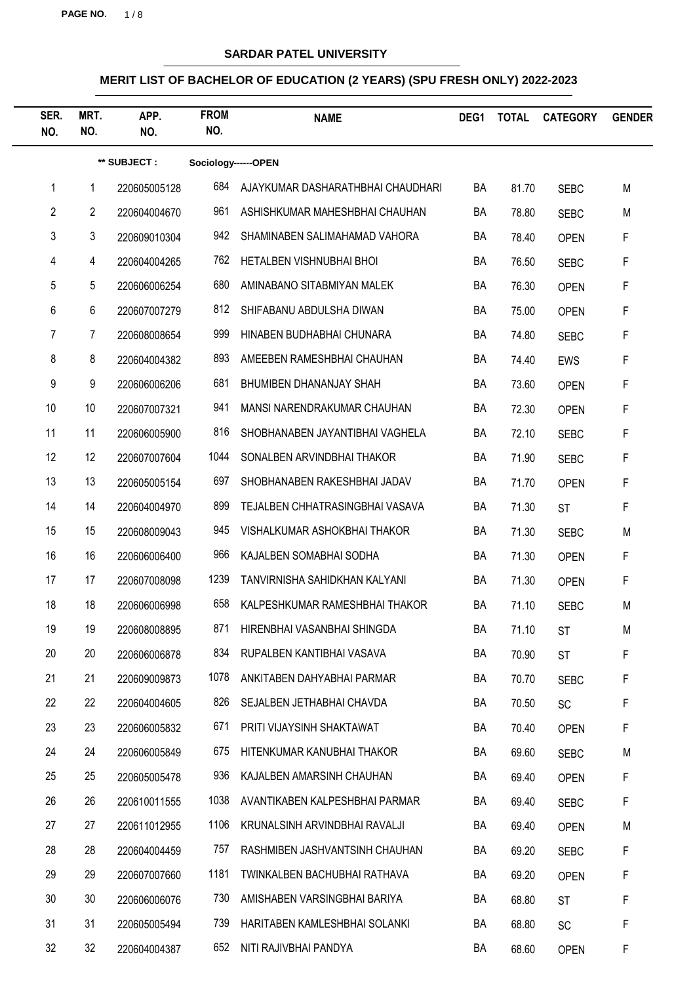**PAGE NO.** 1 / 8

## **SARDAR PATEL UNIVERSITY**

| SER.<br>NO.    | MRT.<br>NO.     | APP.<br>NO.  | <b>FROM</b><br>NO.  | <b>NAME</b>                       | DEG1 | <b>TOTAL</b> | <b>CATEGORY</b> | <b>GENDER</b> |
|----------------|-----------------|--------------|---------------------|-----------------------------------|------|--------------|-----------------|---------------|
|                |                 | ** SUBJECT : | Sociology------OPEN |                                   |      |              |                 |               |
| 1              | 1               | 220605005128 | 684                 | AJAYKUMAR DASHARATHBHAI CHAUDHARI | BA   | 81.70        | <b>SEBC</b>     | M             |
| $\overline{2}$ | $\overline{2}$  | 220604004670 | 961                 | ASHISHKUMAR MAHESHBHAI CHAUHAN    | BA   | 78.80        | <b>SEBC</b>     | M             |
| 3              | 3               | 220609010304 | 942                 | SHAMINABEN SALIMAHAMAD VAHORA     | BA   | 78.40        | <b>OPEN</b>     | F             |
| 4              | $\overline{4}$  | 220604004265 | 762                 | HETALBEN VISHNUBHAI BHOI          | BA   | 76.50        | <b>SEBC</b>     | F             |
| 5              | 5               | 220606006254 | 680                 | AMINABANO SITABMIYAN MALEK        | BA   | 76.30        | <b>OPEN</b>     | F             |
| 6              | 6               | 220607007279 | 812                 | SHIFABANU ABDULSHA DIWAN          | BA   | 75.00        | <b>OPEN</b>     | F             |
| 7              | 7               | 220608008654 | 999                 | HINABEN BUDHABHAI CHUNARA         | BA   | 74.80        | <b>SEBC</b>     | F             |
| 8              | 8               | 220604004382 | 893                 | AMEEBEN RAMESHBHAI CHAUHAN        | BA   | 74.40        | <b>EWS</b>      | F             |
| 9              | 9               | 220606006206 | 681                 | BHUMIBEN DHANANJAY SHAH           | BA   | 73.60        | <b>OPEN</b>     | F             |
| 10             | 10 <sup>°</sup> | 220607007321 | 941                 | MANSI NARENDRAKUMAR CHAUHAN       | BA   | 72.30        | <b>OPEN</b>     | F             |
| 11             | 11              | 220606005900 | 816                 | SHOBHANABEN JAYANTIBHAI VAGHELA   | BA   | 72.10        | <b>SEBC</b>     | F             |
| 12             | 12              | 220607007604 | 1044                | SONALBEN ARVINDBHAI THAKOR        | BA   | 71.90        | <b>SEBC</b>     | F             |
| 13             | 13              | 220605005154 | 697                 | SHOBHANABEN RAKESHBHAI JADAV      | BA   | 71.70        | <b>OPEN</b>     | F             |
| 14             | 14              | 220604004970 | 899                 | TEJALBEN CHHATRASINGBHAI VASAVA   | BA   | 71.30        | <b>ST</b>       | F             |
| 15             | 15              | 220608009043 | 945                 | VISHALKUMAR ASHOKBHAI THAKOR      | BA   | 71.30        | <b>SEBC</b>     | M             |
| 16             | 16              | 220606006400 | 966                 | KAJALBEN SOMABHAI SODHA           | BA   | 71.30        | <b>OPEN</b>     | F             |
| 17             | 17              | 220607008098 | 1239                | TANVIRNISHA SAHIDKHAN KALYANI     | BA   | 71.30        | <b>OPEN</b>     | F             |
| 18             | 18              | 220606006998 | 658                 | KALPESHKUMAR RAMESHBHAI THAKOR    | BA   | 71.10        | <b>SEBC</b>     | M             |
| 19             | 19              | 220608008895 | 871                 | HIRENBHAI VASANBHAI SHINGDA       | BA   | 71.10        | <b>ST</b>       | M             |
| 20             | 20              | 220606006878 | 834                 | RUPALBEN KANTIBHAI VASAVA         | BA   | 70.90        | <b>ST</b>       | F             |
| 21             | 21              | 220609009873 | 1078                | ANKITABEN DAHYABHAI PARMAR        | BA   | 70.70        | <b>SEBC</b>     | F             |
| 22             | 22              | 220604004605 | 826                 | SEJALBEN JETHABHAI CHAVDA         | BA   | 70.50        | SC              | F             |
| 23             | 23              | 220606005832 | 671                 | PRITI VIJAYSINH SHAKTAWAT         | BA   | 70.40        | <b>OPEN</b>     | F             |
| 24             | 24              | 220606005849 | 675                 | HITENKUMAR KANUBHAI THAKOR        | BA   | 69.60        | <b>SEBC</b>     | M             |
| 25             | 25              | 220605005478 | 936                 | KAJALBEN AMARSINH CHAUHAN         | BA   | 69.40        | <b>OPEN</b>     | F             |
| 26             | 26              | 220610011555 | 1038                | AVANTIKABEN KALPESHBHAI PARMAR    | BA   | 69.40        | <b>SEBC</b>     | F             |
| 27             | 27              | 220611012955 | 1106                | KRUNALSINH ARVINDBHAI RAVALJI     | BA   | 69.40        | <b>OPEN</b>     | M             |
| 28             | 28              | 220604004459 | 757                 | RASHMIBEN JASHVANTSINH CHAUHAN    | BA   | 69.20        | <b>SEBC</b>     | F             |
| 29             | 29              | 220607007660 | 1181                | TWINKALBEN BACHUBHAI RATHAVA      | BA   | 69.20        | <b>OPEN</b>     | F             |
| 30             | 30              | 220606006076 | 730                 | AMISHABEN VARSINGBHAI BARIYA      | BA   | 68.80        | <b>ST</b>       | F             |
| 31             | 31              | 220605005494 | 739                 | HARITABEN KAMLESHBHAI SOLANKI     | BA   | 68.80        | SC              | F             |
| 32             | 32              | 220604004387 | 652                 | NITI RAJIVBHAI PANDYA             | BA   | 68.60        | <b>OPEN</b>     | F             |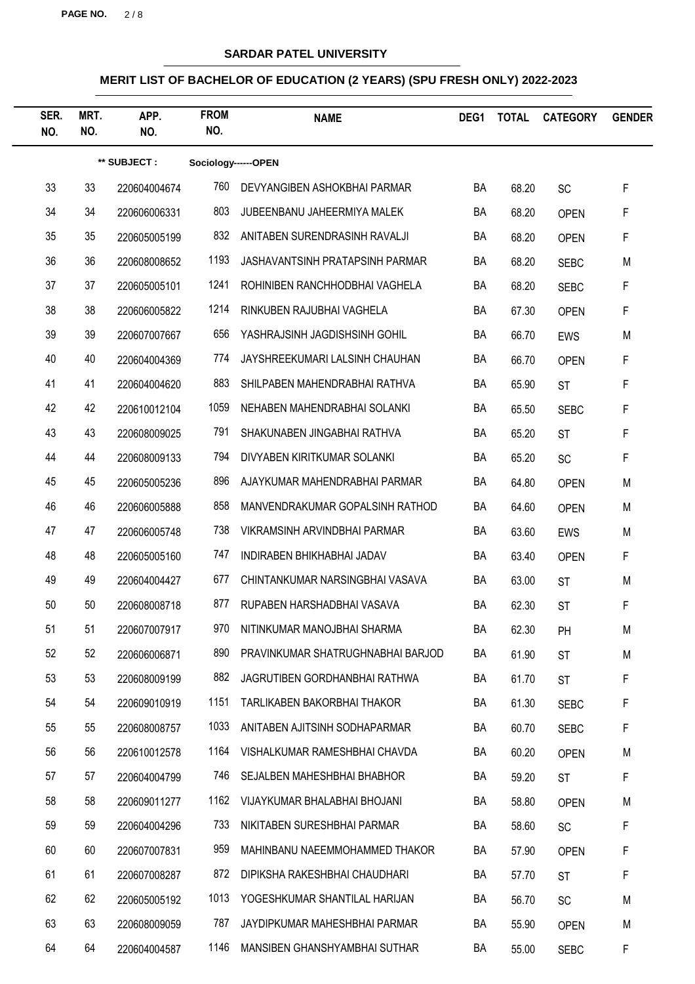**PAGE NO.** 2 / 8

## **SARDAR PATEL UNIVERSITY**

| SER.<br>NO. | MRT.<br>NO. | APP.<br>NO.  | <b>FROM</b><br>NO.  | <b>NAME</b>                          | DEG1 | <b>TOTAL</b> | <b>CATEGORY</b> | <b>GENDER</b> |
|-------------|-------------|--------------|---------------------|--------------------------------------|------|--------------|-----------------|---------------|
|             |             | ** SUBJECT : | Sociology------OPEN |                                      |      |              |                 |               |
| 33          | 33          | 220604004674 | 760                 | DEVYANGIBEN ASHOKBHAI PARMAR         | BA   | 68.20        | SC              | F             |
| 34          | 34          | 220606006331 | 803                 | JUBEENBANU JAHEERMIYA MALEK          | BA   | 68.20        | <b>OPEN</b>     | F             |
| 35          | 35          | 220605005199 | 832                 | ANITABEN SURENDRASINH RAVALJI        | BA   | 68.20        | <b>OPEN</b>     | F             |
| 36          | 36          | 220608008652 | 1193                | JASHAVANTSINH PRATAPSINH PARMAR      | BA   | 68.20        | <b>SEBC</b>     | M             |
| 37          | 37          | 220605005101 | 1241                | ROHINIBEN RANCHHODBHAI VAGHELA       | BA   | 68.20        | <b>SEBC</b>     | F             |
| 38          | 38          | 220606005822 | 1214                | RINKUBEN RAJUBHAI VAGHELA            | BA   | 67.30        | <b>OPEN</b>     | F             |
| 39          | 39          | 220607007667 | 656                 | YASHRAJSINH JAGDISHSINH GOHIL        | BA   | 66.70        | EWS             | M             |
| 40          | 40          | 220604004369 | 774                 | JAYSHREEKUMARI LALSINH CHAUHAN       | BA   | 66.70        | <b>OPEN</b>     | F             |
| 41          | 41          | 220604004620 | 883                 | SHILPABEN MAHENDRABHAI RATHVA        | BA   | 65.90        | <b>ST</b>       | F             |
| 42          | 42          | 220610012104 | 1059                | NEHABEN MAHENDRABHAI SOLANKI         | BA   | 65.50        | <b>SEBC</b>     | F             |
| 43          | 43          | 220608009025 | 791                 | SHAKUNABEN JINGABHAI RATHVA          | BA   | 65.20        | <b>ST</b>       | F             |
| 44          | 44          | 220608009133 | 794                 | DIVYABEN KIRITKUMAR SOLANKI          | BA   | 65.20        | SC              | F             |
| 45          | 45          | 220605005236 | 896                 | AJAYKUMAR MAHENDRABHAI PARMAR        | BA   | 64.80        | <b>OPEN</b>     | M             |
| 46          | 46          | 220606005888 | 858                 | MANVENDRAKUMAR GOPALSINH RATHOD      | BA   | 64.60        | <b>OPEN</b>     | M             |
| 47          | 47          | 220606005748 | 738                 | VIKRAMSINH ARVINDBHAI PARMAR         | BA   | 63.60        | EWS             | M             |
| 48          | 48          | 220605005160 | 747                 | INDIRABEN BHIKHABHAI JADAV           | BA   | 63.40        | <b>OPEN</b>     | F             |
| 49          | 49          | 220604004427 | 677                 | CHINTANKUMAR NARSINGBHAI VASAVA      | BA   | 63.00        | <b>ST</b>       | M             |
| 50          | 50          | 220608008718 | 877                 | RUPABEN HARSHADBHAI VASAVA           | BA   | 62.30        | <b>ST</b>       | F             |
| 51          | 51          | 220607007917 | 970                 | NITINKUMAR MANOJBHAI SHARMA          | BA   | 62.30        | PH              | M             |
| 52          | 52          | 220606006871 | 890                 | PRAVINKUMAR SHATRUGHNABHAI BARJOD    | BA   | 61.90        | <b>ST</b>       | M             |
| 53          | 53          | 220608009199 | 882                 | <b>JAGRUTIBEN GORDHANBHAI RATHWA</b> | BA   | 61.70        | <b>ST</b>       | F             |
| 54          | 54          | 220609010919 | 1151                | TARLIKABEN BAKORBHAI THAKOR          | BA   | 61.30        | <b>SEBC</b>     | F             |
| 55          | 55          | 220608008757 | 1033                | ANITABEN AJITSINH SODHAPARMAR        | BA   | 60.70        | <b>SEBC</b>     | F             |
| 56          | 56          | 220610012578 | 1164                | VISHALKUMAR RAMESHBHAI CHAVDA        | BA   | 60.20        | <b>OPEN</b>     | M             |
| 57          | 57          | 220604004799 | 746                 | SEJALBEN MAHESHBHAI BHABHOR          | BA   | 59.20        | <b>ST</b>       | F             |
| 58          | 58          | 220609011277 | 1162                | VIJAYKUMAR BHALABHAI BHOJANI         | BA   | 58.80        | <b>OPEN</b>     | M             |
| 59          | 59          | 220604004296 | 733                 | NIKITABEN SURESHBHAI PARMAR          | BA   | 58.60        | SC              | F             |
| 60          | 60          | 220607007831 | 959                 | MAHINBANU NAEEMMOHAMMED THAKOR       | BA   | 57.90        | <b>OPEN</b>     | F             |
| 61          | 61          | 220607008287 | 872                 | DIPIKSHA RAKESHBHAI CHAUDHARI        | BA   | 57.70        | <b>ST</b>       | F             |
| 62          | 62          | 220605005192 | 1013                | YOGESHKUMAR SHANTILAL HARIJAN        | BA   | 56.70        | SC              | M             |
| 63          | 63          | 220608009059 | 787                 | JAYDIPKUMAR MAHESHBHAI PARMAR        | BA   | 55.90        | <b>OPEN</b>     | M             |
| 64          | 64          | 220604004587 | 1146                | MANSIBEN GHANSHYAMBHAI SUTHAR        | BA   | 55.00        | <b>SEBC</b>     | F             |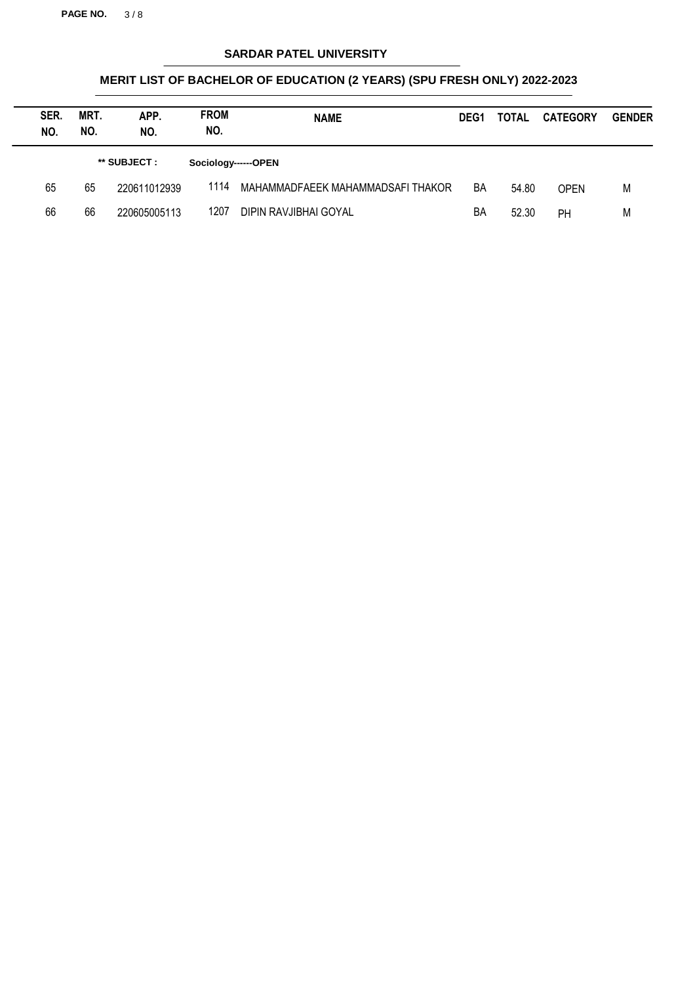**PAGE NO.** 3 / 8

## **SARDAR PATEL UNIVERSITY**

| SER.<br>NO. | MRT.<br>NO. | APP.<br>NO.  | <b>FROM</b><br>NO.  | <b>NAME</b>                       | DEG <sub>1</sub> | <b>TOTAL</b> | <b>CATEGORY</b> | <b>GENDER</b> |
|-------------|-------------|--------------|---------------------|-----------------------------------|------------------|--------------|-----------------|---------------|
|             |             | ** SUBJECT : | Sociology------OPEN |                                   |                  |              |                 |               |
| 65          | 65          | 220611012939 | 1114                | MAHAMMADFAEEK MAHAMMADSAFI THAKOR | BA               | 54.80        | <b>OPEN</b>     | M             |
| 66          | 66          | 220605005113 | 1207                | DIPIN RAVJIBHAI GOYAL             | BA               | 52.30        | PH              | M             |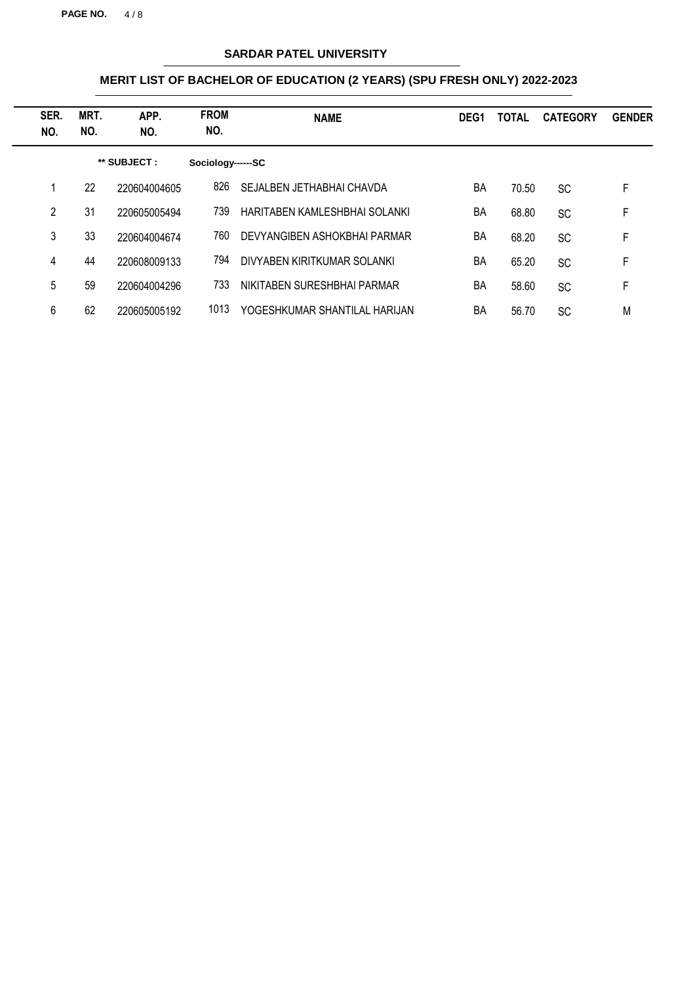**PAGE NO.** 4 / 8

## **SARDAR PATEL UNIVERSITY**

| SER.<br>NO. | MRT.<br>NO. | APP.<br>NO.  | <b>FROM</b><br>NO. | <b>NAME</b>                   | DEG <sub>1</sub> | TOTAL | <b>CATEGORY</b> | <b>GENDER</b> |
|-------------|-------------|--------------|--------------------|-------------------------------|------------------|-------|-----------------|---------------|
|             |             | ** SUBJECT : | Sociology------SC  |                               |                  |       |                 |               |
|             | 22          | 220604004605 | 826                | SEJALBEN JETHABHAI CHAVDA     | ΒA               | 70.50 | <b>SC</b>       | F             |
| 2           | 31          | 220605005494 | 739                | HARITABEN KAMLESHBHAI SOLANKI | BA               | 68.80 | <b>SC</b>       | F             |
| 3           | 33          | 220604004674 | 760                | DEVYANGIBEN ASHOKBHAI PARMAR  | BA               | 68.20 | <b>SC</b>       | F             |
| 4           | 44          | 220608009133 | 794                | DIVYABEN KIRITKUMAR SOLANKI   | BA               | 65.20 | <b>SC</b>       | F             |
| 5           | 59          | 220604004296 | 733                | NIKITABEN SURESHBHAI PARMAR   | BA               | 58.60 | <b>SC</b>       | F             |
| 6           | 62          | 220605005192 | 1013               | YOGESHKUMAR SHANTILAL HARIJAN | BA               | 56.70 | <b>SC</b>       | M             |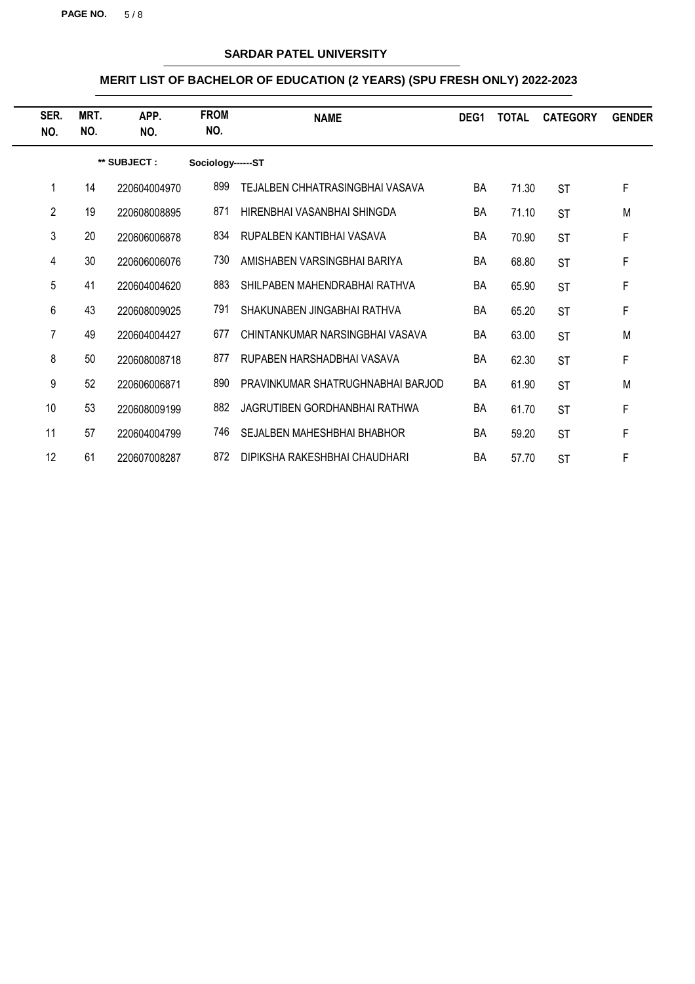**PAGE NO.** 5 / 8

## **SARDAR PATEL UNIVERSITY**

| SER.<br>NO. | MRT.<br>NO. | APP.<br>NO.  | <b>FROM</b><br>NO. | <b>NAME</b>                          | DEG <sub>1</sub> | <b>TOTAL</b> | <b>CATEGORY</b> | <b>GENDER</b> |
|-------------|-------------|--------------|--------------------|--------------------------------------|------------------|--------------|-----------------|---------------|
|             |             | ** SUBJECT : | Sociology------ST  |                                      |                  |              |                 |               |
|             | 14          | 220604004970 | 899                | TEJALBEN CHHATRASINGBHAI VASAVA      | BA               | 71.30        | <b>ST</b>       | F             |
| 2           | 19          | 220608008895 | 871                | HIRENBHAI VASANBHAI SHINGDA          | BA               | 71.10        | <b>ST</b>       | M             |
| 3           | 20          | 220606006878 | 834                | RUPALBEN KANTIBHAI VASAVA            | BA               | 70.90        | <b>ST</b>       | F             |
| 4           | 30          | 220606006076 | 730                | AMISHABEN VARSINGBHAI BARIYA         | BA               | 68.80        | <b>ST</b>       | F             |
| 5           | 41          | 220604004620 | 883                | SHILPABEN MAHENDRABHAI RATHVA        | BA               | 65.90        | <b>ST</b>       | F             |
| 6           | 43          | 220608009025 | 791                | SHAKUNABEN JINGABHAI RATHVA          | BA               | 65.20        | <b>ST</b>       | F             |
| 7           | 49          | 220604004427 | 677                | CHINTANKUMAR NARSINGBHAI VASAVA      | <b>BA</b>        | 63.00        | <b>ST</b>       | M             |
| 8           | 50          | 220608008718 | 877                | RUPABEN HARSHADBHAI VASAVA           | BA               | 62.30        | <b>ST</b>       | F             |
| 9           | 52          | 220606006871 | 890                | PRAVINKUMAR SHATRUGHNABHAI BARJOD    | BA               | 61.90        | <b>ST</b>       | M             |
| 10          | 53          | 220608009199 | 882                | <b>JAGRUTIBEN GORDHANBHAI RATHWA</b> | <b>BA</b>        | 61.70        | <b>ST</b>       | F             |
| 11          | 57          | 220604004799 | 746                | SEJALBEN MAHESHBHAI BHABHOR          | BA               | 59.20        | <b>ST</b>       | F             |
| 12          | 61          | 220607008287 | 872                | DIPIKSHA RAKESHBHAI CHAUDHARI        | BA               | 57.70        | <b>ST</b>       | F             |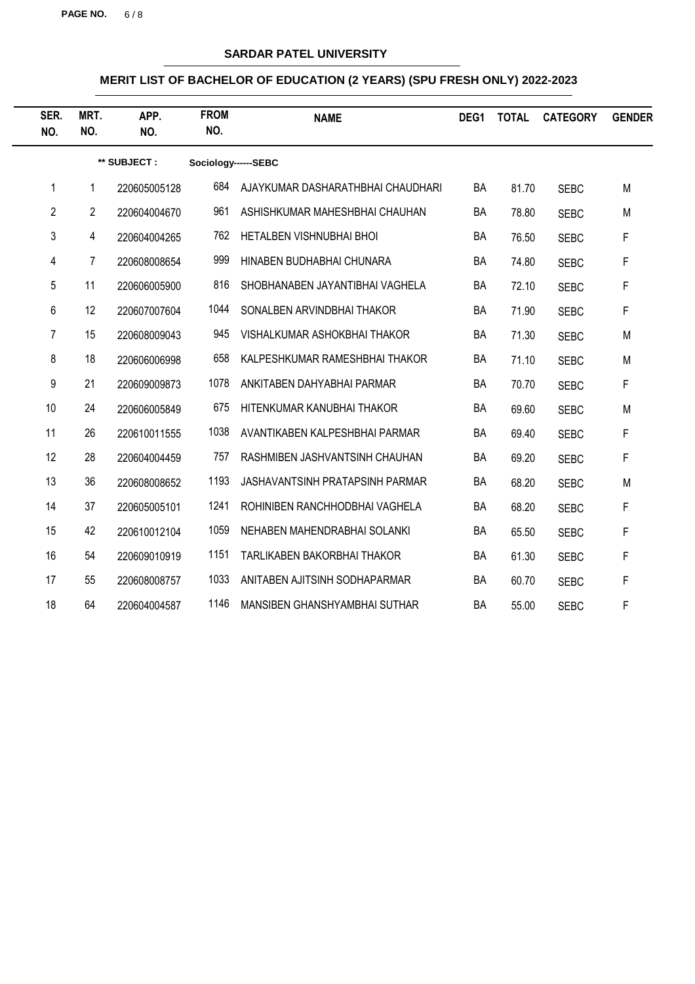**PAGE NO.** 6 / 8

## **SARDAR PATEL UNIVERSITY**

| SER.<br>NO.    | MRT.<br>NO.    | APP.<br>NO.  | <b>FROM</b><br>NO.  | <b>NAME</b>                       | DEG1 | <b>TOTAL</b> | <b>CATEGORY</b> | <b>GENDER</b> |
|----------------|----------------|--------------|---------------------|-----------------------------------|------|--------------|-----------------|---------------|
|                |                | ** SUBJECT : | Sociology------SEBC |                                   |      |              |                 |               |
| 1              | 1              | 220605005128 | 684                 | AJAYKUMAR DASHARATHBHAI CHAUDHARI | BA   | 81.70        | <b>SEBC</b>     | M             |
| $\overline{2}$ | $\overline{2}$ | 220604004670 | 961                 | ASHISHKUMAR MAHESHBHAI CHAUHAN    | BA   | 78.80        | <b>SEBC</b>     | M             |
| 3              | 4              | 220604004265 | 762                 | HETALBEN VISHNUBHAI BHOI          | BA   | 76.50        | <b>SEBC</b>     | F             |
| 4              | $\overline{7}$ | 220608008654 | 999                 | HINABEN BUDHABHAI CHUNARA         | BA   | 74.80        | <b>SEBC</b>     | F             |
| 5              | 11             | 220606005900 | 816                 | SHOBHANABEN JAYANTIBHAI VAGHELA   | BA   | 72.10        | <b>SEBC</b>     | F             |
| 6              | 12             | 220607007604 | 1044                | SONALBEN ARVINDBHAI THAKOR        | BA   | 71.90        | <b>SEBC</b>     | F             |
| $\overline{7}$ | 15             | 220608009043 | 945                 | VISHALKUMAR ASHOKBHAI THAKOR      | BA   | 71.30        | <b>SEBC</b>     | M             |
| 8              | 18             | 220606006998 | 658                 | KALPESHKUMAR RAMESHBHAI THAKOR    | BA   | 71.10        | <b>SEBC</b>     | M             |
| 9              | 21             | 220609009873 | 1078                | ANKITABEN DAHYABHAI PARMAR        | BA   | 70.70        | <b>SEBC</b>     | F             |
| 10             | 24             | 220606005849 | 675                 | HITENKUMAR KANUBHAI THAKOR        | BA   | 69.60        | <b>SEBC</b>     | M             |
| 11             | 26             | 220610011555 | 1038                | AVANTIKABEN KALPESHBHAI PARMAR    | BA   | 69.40        | <b>SEBC</b>     | F             |
| 12             | 28             | 220604004459 | 757                 | RASHMIBEN JASHVANTSINH CHAUHAN    | BA   | 69.20        | <b>SEBC</b>     | F             |
| 13             | 36             | 220608008652 | 1193                | JASHAVANTSINH PRATAPSINH PARMAR   | BA   | 68.20        | <b>SEBC</b>     | M             |
| 14             | 37             | 220605005101 | 1241                | ROHINIBEN RANCHHODBHAI VAGHELA    | BA   | 68.20        | <b>SEBC</b>     | F             |
| 15             | 42             | 220610012104 | 1059                | NEHABEN MAHENDRABHAI SOLANKI      | BA   | 65.50        | <b>SEBC</b>     | F             |
| 16             | 54             | 220609010919 | 1151                | TARLIKABEN BAKORBHAI THAKOR       | BA   | 61.30        | <b>SEBC</b>     | F             |
| 17             | 55             | 220608008757 | 1033                | ANITABEN AJITSINH SODHAPARMAR     | BA   | 60.70        | <b>SEBC</b>     | F             |
| 18             | 64             | 220604004587 | 1146                | MANSIBEN GHANSHYAMBHAI SUTHAR     | BA   | 55.00        | <b>SEBC</b>     | F             |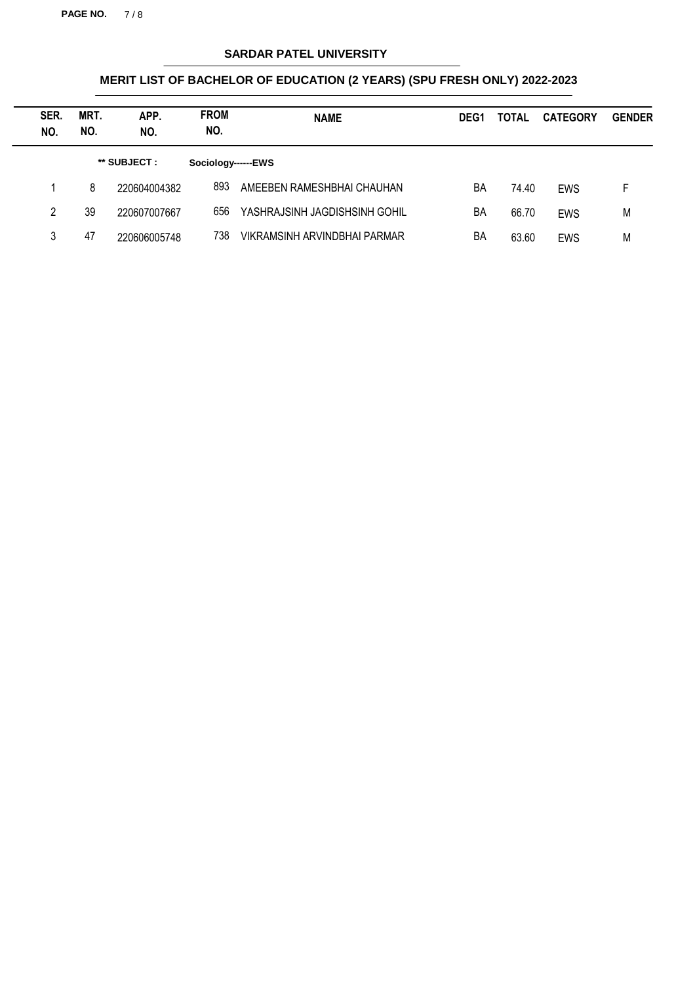**PAGE NO.** 7 / 8

## **SARDAR PATEL UNIVERSITY**

| SER.<br>NO. | MRT.<br>NO. | APP.<br>NO.  | <b>FROM</b><br>NO. | <b>NAME</b>                   | DEG <sub>1</sub> | <b>TOTAL</b> | <b>CATEGORY</b> | <b>GENDER</b> |
|-------------|-------------|--------------|--------------------|-------------------------------|------------------|--------------|-----------------|---------------|
|             |             | ** SUBJECT : | Sociology------EWS |                               |                  |              |                 |               |
|             | 8           | 220604004382 | 893                | AMEEBEN RAMESHBHAI CHAUHAN    | BA               | 74.40        | <b>EWS</b>      | F             |
| 2           | 39          | 220607007667 | 656                | YASHRAJSINH JAGDISHSINH GOHIL | BA               | 66.70        | EWS             | M             |
| 3           | 47          | 220606005748 | 738                | VIKRAMSINH ARVINDBHAI PARMAR  | BA               | 63.60        | <b>EWS</b>      | M             |